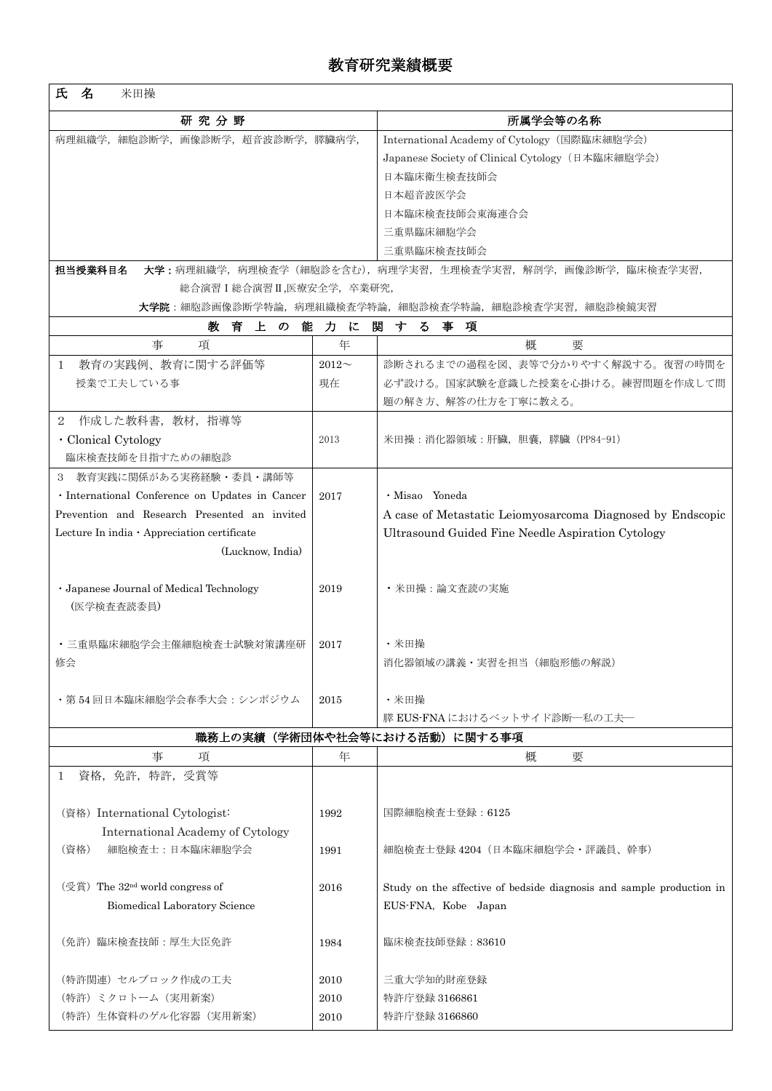| 名<br>氏<br>米田操                                                                                      |             |                                                                      |  |  |  |  |  |
|----------------------------------------------------------------------------------------------------|-------------|----------------------------------------------------------------------|--|--|--|--|--|
| 研究分野                                                                                               |             | 所属学会等の名称                                                             |  |  |  |  |  |
| 病理組織学,細胞診断学,画像診断学,超音波診断学,膵臓病学,                                                                     |             | International Academy of Cytology (国際臨床細胞学会)                         |  |  |  |  |  |
|                                                                                                    |             | Japanese Society of Clinical Cytology (日本臨床細胞学会)                     |  |  |  |  |  |
|                                                                                                    |             | 日本臨床衛生検査技師会                                                          |  |  |  |  |  |
|                                                                                                    |             | 日本超音波医学会                                                             |  |  |  |  |  |
|                                                                                                    |             | 日本臨床検査技師会東海連合会                                                       |  |  |  |  |  |
|                                                                                                    |             | 三重県臨床細胞学会                                                            |  |  |  |  |  |
|                                                                                                    |             | 三重県臨床検査技師会                                                           |  |  |  |  |  |
| 担当授業科目名<br>大学:病理組織学,病理検査学(細胞診を含む),病理学実習,生理検査学実習,解剖学,画像診断学,臨床検査学実習,<br>総合演習 I 総合演習 II ,医療安全学, 卒業研究, |             |                                                                      |  |  |  |  |  |
| <b>大学院</b> :細胞診画像診断学特論,病理組織検査学特論,細胞診検査学特論,細胞診検査学実習,細胞診検鏡実習                                         |             |                                                                      |  |  |  |  |  |
| 教育<br>上の<br>能 力 に<br>関<br>する<br>事<br>項                                                             |             |                                                                      |  |  |  |  |  |
| 事<br>項                                                                                             | 年           | 概<br>要                                                               |  |  |  |  |  |
| 教育の実践例、教育に関する評価等<br>$\mathbf{1}$                                                                   | $2012 \sim$ | 診断されるまでの過程を図、表等で分かりやすく解説する。復習の時間を                                    |  |  |  |  |  |
| 授業で工夫している事                                                                                         | 現在          | 必ず設ける。国家試験を意識した授業を心掛ける。練習問題を作成して問                                    |  |  |  |  |  |
|                                                                                                    |             | 題の解き方、解答の仕方を丁寧に教える。                                                  |  |  |  |  |  |
| 作成した教科書,教材,指導等<br>2                                                                                |             |                                                                      |  |  |  |  |  |
| · Clonical Cytology                                                                                | 2013        | 米田操:消化器領域:肝臓,胆嚢,膵臓(PP84-91)                                          |  |  |  |  |  |
| 臨床検査技師を目指すための細胞診                                                                                   |             |                                                                      |  |  |  |  |  |
| 3 教育実践に関係がある実務経験・委員・講師等                                                                            |             |                                                                      |  |  |  |  |  |
| · International Conference on Updates in Cancer                                                    | 2017        | · Misao Yoneda                                                       |  |  |  |  |  |
| Prevention and Research Presented an invited                                                       |             | A case of Metastatic Leiomyosarcoma Diagnosed by Endscopic           |  |  |  |  |  |
| Lecture In india · Appreciation certificate                                                        |             | Ultrasound Guided Fine Needle Aspiration Cytology                    |  |  |  |  |  |
| (Lucknow, India)                                                                                   |             |                                                                      |  |  |  |  |  |
|                                                                                                    |             |                                                                      |  |  |  |  |  |
| · Japanese Journal of Medical Technology<br>2019                                                   |             | • 米田操:論文査読の実施                                                        |  |  |  |  |  |
| (医学検査査読委員)                                                                                         |             |                                                                      |  |  |  |  |  |
|                                                                                                    |             |                                                                      |  |  |  |  |  |
| ・三重県臨床細胞学会主催細胞検査士試験対策講座研                                                                           | 2017        | ・米田操                                                                 |  |  |  |  |  |
| 修会                                                                                                 |             | 消化器領域の講義・実習を担当 (細胞形態の解説)                                             |  |  |  |  |  |
|                                                                                                    |             |                                                                      |  |  |  |  |  |
| ・第 54 回日本臨床細胞学会春季大会 : シンポジウム                                                                       | 2015        | · 米田操                                                                |  |  |  |  |  |
|                                                                                                    |             | 膵 EUS-FNA におけるベットサイド診断―私の工夫―                                         |  |  |  |  |  |
| 職務上の実績(学術団体や社会等における活動)に関する事項                                                                       |             |                                                                      |  |  |  |  |  |
| 事<br>項                                                                                             | 年           | 概<br>要                                                               |  |  |  |  |  |
| 資格, 免許, 特許, 受賞等<br>$\mathbf{1}$                                                                    |             |                                                                      |  |  |  |  |  |
|                                                                                                    |             |                                                                      |  |  |  |  |  |
| (資格) International Cytologist:                                                                     | 1992        | 国際細胞検査士登録: 6125                                                      |  |  |  |  |  |
| International Academy of Cytology                                                                  |             |                                                                      |  |  |  |  |  |
| (資格)<br>細胞検査士:日本臨床細胞学会                                                                             | 1991        | 細胞検査士登録 4204 (日本臨床細胞学会·評議員、幹事)                                       |  |  |  |  |  |
|                                                                                                    |             |                                                                      |  |  |  |  |  |
| $(\frac{2}{3})$ The 32 <sup>nd</sup> world congress of                                             | 2016        | Study on the sffective of bedside diagnosis and sample production in |  |  |  |  |  |
| Biomedical Laboratory Science                                                                      |             | EUS-FNA, Kobe Japan                                                  |  |  |  |  |  |
| (免許) 臨床検査技師:厚生大臣免許                                                                                 | 1984        | 臨床検査技師登録: 83610                                                      |  |  |  |  |  |
|                                                                                                    |             |                                                                      |  |  |  |  |  |
| (特許関連) セルブロック作成の工夫<br>2010                                                                         |             | 三重大学知的財産登録                                                           |  |  |  |  |  |
| (特許)ミクロトーム(実用新案)                                                                                   | 2010        | 特許庁登録 3166861                                                        |  |  |  |  |  |
| (特許) 生体資料のゲル化容器 (実用新案)                                                                             |             | 特許庁登録 3166860                                                        |  |  |  |  |  |
|                                                                                                    | 2010        |                                                                      |  |  |  |  |  |